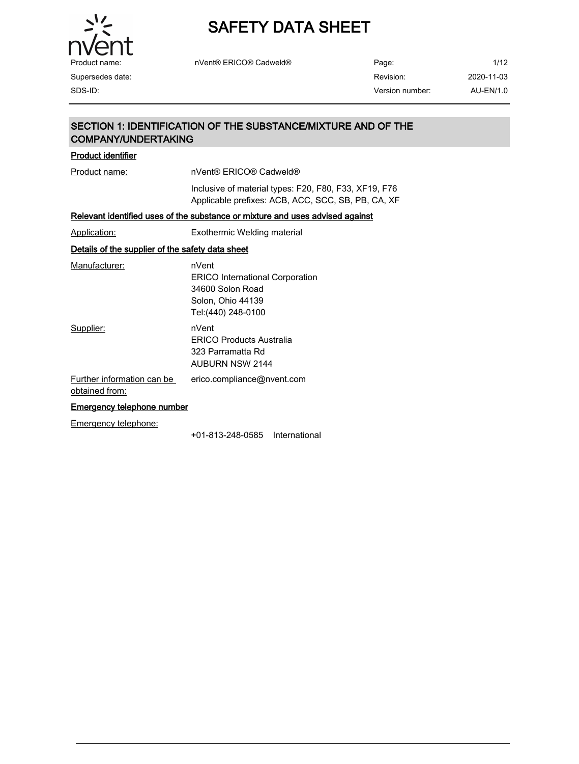

| Product name:    | nVent® ERICO® Cadweld® | Page:           | 1/12       |
|------------------|------------------------|-----------------|------------|
| Supersedes date: |                        | Revision:       | 2020-11-03 |
| SDS-ID:          |                        | Version number: | AU-EN/1.0  |

## SECTION 1: IDENTIFICATION OF THE SUBSTANCE/MIXTURE AND OF THE COMPANY/UNDERTAKING Product identifier Product name: nVent® ERICO® Cadweld® Inclusive of material types: F20, F80, F33, XF19, F76 Applicable prefixes: ACB, ACC, SCC, SB, PB, CA, XF Relevant identified uses of the substance or mixture and uses advised against Application: Exothermic Welding material Details of the supplier of the safety data sheet Manufacturer: nVent ERICO International Corporation 34600 Solon Road Solon, Ohio 44139 Tel:(440) 248-0100 Supplier: nVent ERICO Products Australia 323 Parramatta Rd AUBURN NSW 2144 Further information can be obtained from: erico.compliance@nvent.com Emergency telephone number Emergency telephone: +01-813-248-0585 International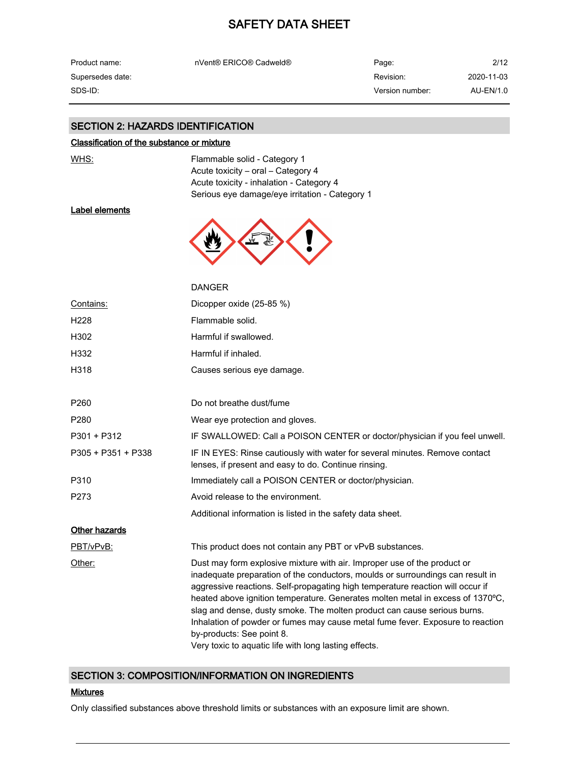| Product name:    | nVent® ERICO® Cadweld® | Page:           | 2/12       |
|------------------|------------------------|-----------------|------------|
| Supersedes date: |                        | Revision:       | 2020-11-03 |
| SDS-ID:          |                        | Version number: | AU-EN/1.0  |

### SECTION 2: HAZARDS IDENTIFICATION

#### Classification of the substance or mixture

WHS: WHS: Flammable solid - Category 1 Acute toxicity - oral - Category 4 Acute toxicity - inhalation - Category 4 Serious eye damage/eye irritation - Category 1

## Label elements



|                      | <b>DANGER</b>                                                                                                                                                                                                                                                                                                                                                                                                                                                                                                                                                                      |
|----------------------|------------------------------------------------------------------------------------------------------------------------------------------------------------------------------------------------------------------------------------------------------------------------------------------------------------------------------------------------------------------------------------------------------------------------------------------------------------------------------------------------------------------------------------------------------------------------------------|
| Contains:            | Dicopper oxide (25-85 %)                                                                                                                                                                                                                                                                                                                                                                                                                                                                                                                                                           |
| H <sub>228</sub>     | Flammable solid.                                                                                                                                                                                                                                                                                                                                                                                                                                                                                                                                                                   |
| H302                 | Harmful if swallowed.                                                                                                                                                                                                                                                                                                                                                                                                                                                                                                                                                              |
| H332                 | Harmful if inhaled.                                                                                                                                                                                                                                                                                                                                                                                                                                                                                                                                                                |
| H318                 | Causes serious eye damage.                                                                                                                                                                                                                                                                                                                                                                                                                                                                                                                                                         |
| P <sub>260</sub>     | Do not breathe dust/fume                                                                                                                                                                                                                                                                                                                                                                                                                                                                                                                                                           |
| P280                 | Wear eye protection and gloves.                                                                                                                                                                                                                                                                                                                                                                                                                                                                                                                                                    |
| P301 + P312          | IF SWALLOWED: Call a POISON CENTER or doctor/physician if you feel unwell.                                                                                                                                                                                                                                                                                                                                                                                                                                                                                                         |
| P305 + P351 + P338   | IF IN EYES: Rinse cautiously with water for several minutes. Remove contact<br>lenses, if present and easy to do. Continue rinsing.                                                                                                                                                                                                                                                                                                                                                                                                                                                |
| P310                 | Immediately call a POISON CENTER or doctor/physician.                                                                                                                                                                                                                                                                                                                                                                                                                                                                                                                              |
| P273                 | Avoid release to the environment.                                                                                                                                                                                                                                                                                                                                                                                                                                                                                                                                                  |
|                      | Additional information is listed in the safety data sheet.                                                                                                                                                                                                                                                                                                                                                                                                                                                                                                                         |
| <b>Other hazards</b> |                                                                                                                                                                                                                                                                                                                                                                                                                                                                                                                                                                                    |
| PBT/vPvB:            | This product does not contain any PBT or vPvB substances.                                                                                                                                                                                                                                                                                                                                                                                                                                                                                                                          |
| Other:               | Dust may form explosive mixture with air. Improper use of the product or<br>inadequate preparation of the conductors, moulds or surroundings can result in<br>aggressive reactions. Self-propagating high temperature reaction will occur if<br>heated above ignition temperature. Generates molten metal in excess of 1370°C,<br>slag and dense, dusty smoke. The molten product can cause serious burns.<br>Inhalation of powder or fumes may cause metal fume fever. Exposure to reaction<br>by-products: See point 8.<br>Very toxic to aquatic life with long lasting effects. |

### SECTION 3: COMPOSITION/INFORMATION ON INGREDIENTS

#### **Mixtures**

Only classified substances above threshold limits or substances with an exposure limit are shown.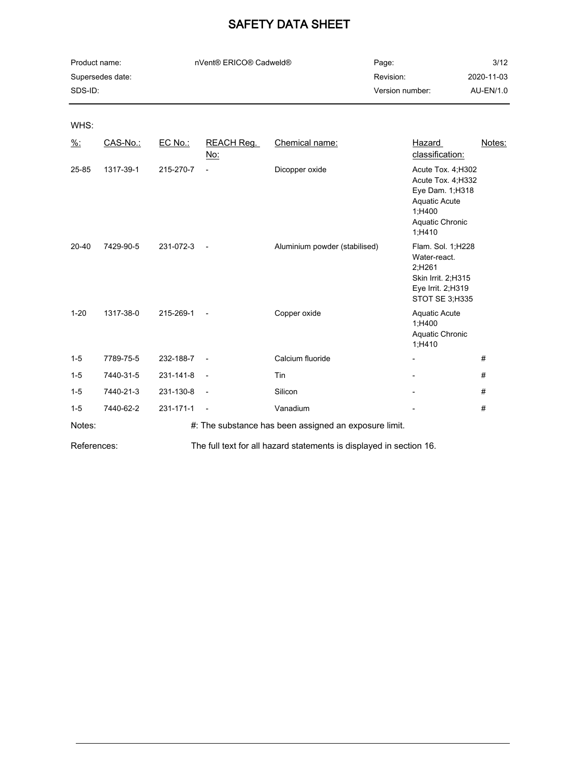| Product name:    | nVent® ERICO® Cadweld® | Page:           | 3/12       |
|------------------|------------------------|-----------------|------------|
| Supersedes date: |                        | Revision:       | 2020-11-03 |
| SDS-ID:          |                        | Version number: | AU-EN/1.0  |

WHS:

| $\frac{9}{6}$ : | CAS-No.:  | EC No.:   | <b>REACH Reg.</b><br>No: | Chemical name:                                        | Hazard<br>classification:                                                                                                   | Notes: |
|-----------------|-----------|-----------|--------------------------|-------------------------------------------------------|-----------------------------------------------------------------------------------------------------------------------------|--------|
| 25-85           | 1317-39-1 | 215-270-7 | $\overline{\phantom{a}}$ | Dicopper oxide                                        | Acute Tox. 4; H302<br>Acute Tox. 4; H332<br>Eye Dam. 1; H318<br><b>Aquatic Acute</b><br>1;H400<br>Aquatic Chronic<br>1;H410 |        |
| $20 - 40$       | 7429-90-5 | 231-072-3 | $\overline{\phantom{a}}$ | Aluminium powder (stabilised)                         | Flam. Sol. 1;H228<br>Water-react.<br>2;H261<br>Skin Irrit. 2; H315<br>Eye Irrit. 2;H319<br>STOT SE 3:H335                   |        |
| $1 - 20$        | 1317-38-0 | 215-269-1 | $\overline{\phantom{a}}$ | Copper oxide                                          | <b>Aquatic Acute</b><br>1;H400<br>Aquatic Chronic<br>1;H410                                                                 |        |
| $1 - 5$         | 7789-75-5 | 232-188-7 | $\blacksquare$           | Calcium fluoride                                      |                                                                                                                             | #      |
| $1 - 5$         | 7440-31-5 | 231-141-8 | $\blacksquare$           | Tin                                                   |                                                                                                                             | #      |
| $1-5$           | 7440-21-3 | 231-130-8 | $\overline{\phantom{a}}$ | Silicon                                               |                                                                                                                             | #      |
| $1 - 5$         | 7440-62-2 | 231-171-1 | $\overline{\phantom{a}}$ | Vanadium                                              |                                                                                                                             | #      |
| Notes:          |           |           |                          | #: The substance has been assigned an exposure limit. |                                                                                                                             |        |

References: The full text for all hazard statements is displayed in section 16.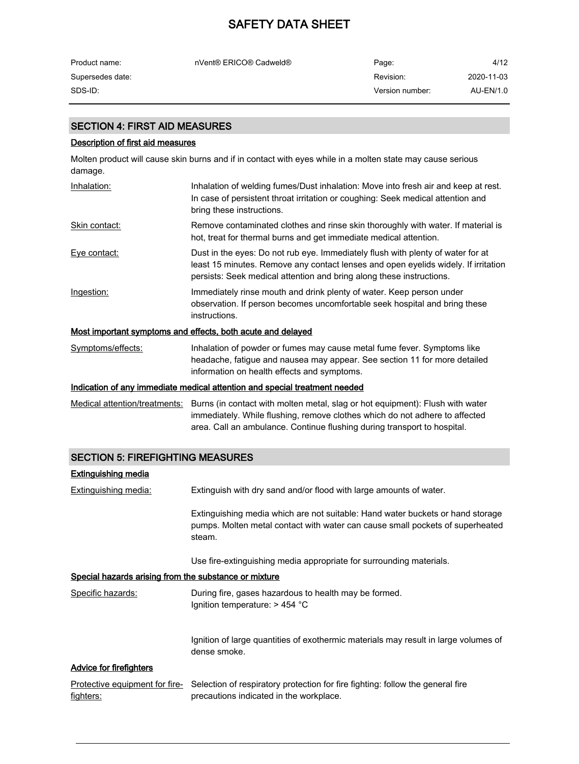| Product name:    | nVent® ERICO® Cadweld® | Page:           | 4/12       |
|------------------|------------------------|-----------------|------------|
| Supersedes date: |                        | Revision:       | 2020-11-03 |
| SDS-ID: .        |                        | Version number: | AU-EN/1.0  |

### SECTION 4: FIRST AID MEASURES

#### Description of first aid measures

Molten product will cause skin burns and if in contact with eyes while in a molten state may cause serious damage.

| Inhalation:       | Inhalation of welding fumes/Dust inhalation: Move into fresh air and keep at rest.<br>In case of persistent throat irritation or coughing: Seek medical attention and<br>bring these instructions.                                            |
|-------------------|-----------------------------------------------------------------------------------------------------------------------------------------------------------------------------------------------------------------------------------------------|
| Skin contact:     | Remove contaminated clothes and rinse skin thoroughly with water. If material is<br>hot, treat for thermal burns and get immediate medical attention.                                                                                         |
| Eye contact:      | Dust in the eyes: Do not rub eye. Immediately flush with plenty of water for at<br>least 15 minutes. Remove any contact lenses and open eyelids widely. If irritation<br>persists: Seek medical attention and bring along these instructions. |
| Ingestion:        | Immediately rinse mouth and drink plenty of water. Keep person under<br>observation. If person becomes uncomfortable seek hospital and bring these<br>instructions.                                                                           |
|                   | Most important symptoms and effects, both acute and delayed                                                                                                                                                                                   |
| Symptoms/effects: | Inhalation of powder or fumes may cause metal fume fever. Symptoms like<br>headache, fatigue and nausea may appear. See section 11 for more detailed                                                                                          |

#### Indication of any immediate medical attention and special treatment needed

Medical attention/treatments: Burns (in contact with molten metal, slag or hot equipment): Flush with water immediately. While flushing, remove clothes which do not adhere to affected area. Call an ambulance. Continue flushing during transport to hospital.

information on health effects and symptoms.

### SECTION 5: FIREFIGHTING MEASURES

## Extinguishing media Extinguishing media: Extinguish with dry sand and/or flood with large amounts of water. Extinguishing media which are not suitable: Hand water buckets or hand storage pumps. Molten metal contact with water can cause small pockets of superheated steam. Use fire-extinguishing media appropriate for surrounding materials. Special hazards arising from the substance or mixture Specific hazards: During fire, gases hazardous to health may be formed. Ignition temperature: > 454 °C Ignition of large quantities of exothermic materials may result in large volumes of dense smoke. Advice for firefighters Protective equipment for fire- Selection of respiratory protection for fire fighting: follow the general fire fighters: precautions indicated in the workplace.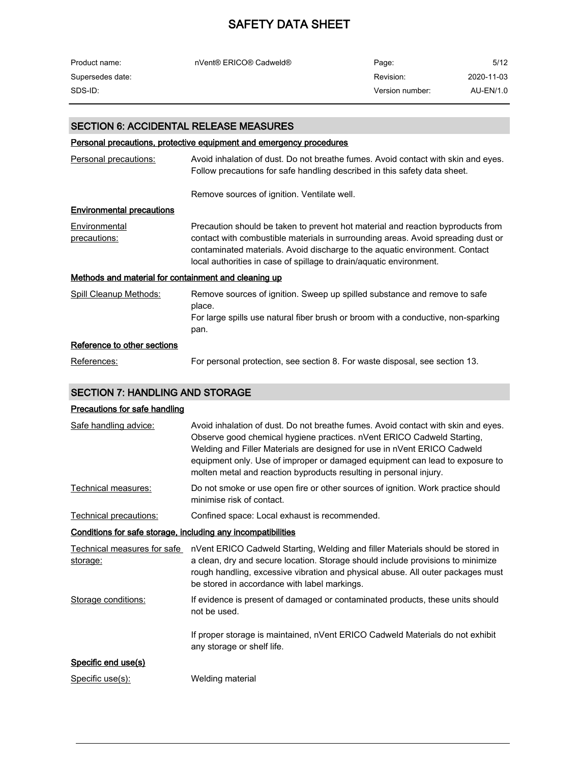| Product name:    | nVent® ERICO® Cadweld® | Page:           | 5/12       |
|------------------|------------------------|-----------------|------------|
| Supersedes date: |                        | Revision:       | 2020-11-03 |
| SDS-ID:          |                        | Version number: | AU-EN/1.0  |

## SECTION 6: ACCIDENTAL RELEASE MEASURES

#### Personal precautions, protective equipment and emergency procedures

| Personal precautions:                                | Avoid inhalation of dust. Do not breathe fumes. Avoid contact with skin and eyes.<br>Follow precautions for safe handling described in this safety data sheet.                                                                                                                                                            |
|------------------------------------------------------|---------------------------------------------------------------------------------------------------------------------------------------------------------------------------------------------------------------------------------------------------------------------------------------------------------------------------|
|                                                      | Remove sources of ignition. Ventilate well.                                                                                                                                                                                                                                                                               |
| <b>Environmental precautions</b>                     |                                                                                                                                                                                                                                                                                                                           |
| Environmental<br>precautions:                        | Precaution should be taken to prevent hot material and reaction byproducts from<br>contact with combustible materials in surrounding areas. Avoid spreading dust or<br>contaminated materials. Avoid discharge to the aquatic environment. Contact<br>local authorities in case of spillage to drain/aquatic environment. |
| Methods and material for containment and cleaning up |                                                                                                                                                                                                                                                                                                                           |
| Spill Cleanup Methods:                               | Remove sources of ignition. Sweep up spilled substance and remove to safe<br>place.<br>For large spills use natural fiber brush or broom with a conductive, non-sparking<br>pan.                                                                                                                                          |
| Reference to other sections                          |                                                                                                                                                                                                                                                                                                                           |
| References:                                          | For personal protection, see section 8. For waste disposal, see section 13.                                                                                                                                                                                                                                               |

## SECTION 7: HANDLING AND STORAGE

### Precautions for safe handling

| Safe handling advice:                                        | Avoid inhalation of dust. Do not breathe fumes. Avoid contact with skin and eyes.<br>Observe good chemical hygiene practices. nVent ERICO Cadweld Starting,<br>Welding and Filler Materials are designed for use in nVent ERICO Cadweld<br>equipment only. Use of improper or damaged equipment can lead to exposure to<br>molten metal and reaction byproducts resulting in personal injury. |
|--------------------------------------------------------------|-----------------------------------------------------------------------------------------------------------------------------------------------------------------------------------------------------------------------------------------------------------------------------------------------------------------------------------------------------------------------------------------------|
| Technical measures:                                          | Do not smoke or use open fire or other sources of ignition. Work practice should<br>minimise risk of contact.                                                                                                                                                                                                                                                                                 |
| Technical precautions:                                       | Confined space: Local exhaust is recommended.                                                                                                                                                                                                                                                                                                                                                 |
| Conditions for safe storage, including any incompatibilities |                                                                                                                                                                                                                                                                                                                                                                                               |
| Technical measures for safe<br>storage:                      | nVent ERICO Cadweld Starting, Welding and filler Materials should be stored in<br>a clean, dry and secure location. Storage should include provisions to minimize<br>rough handling, excessive vibration and physical abuse. All outer packages must<br>be stored in accordance with label markings.                                                                                          |
| Storage conditions:                                          | If evidence is present of damaged or contaminated products, these units should<br>not be used.                                                                                                                                                                                                                                                                                                |
|                                                              | If proper storage is maintained, nVent ERICO Cadweld Materials do not exhibit<br>any storage or shelf life.                                                                                                                                                                                                                                                                                   |
| Specific end use(s)                                          |                                                                                                                                                                                                                                                                                                                                                                                               |
| Specific use(s):                                             | Welding material                                                                                                                                                                                                                                                                                                                                                                              |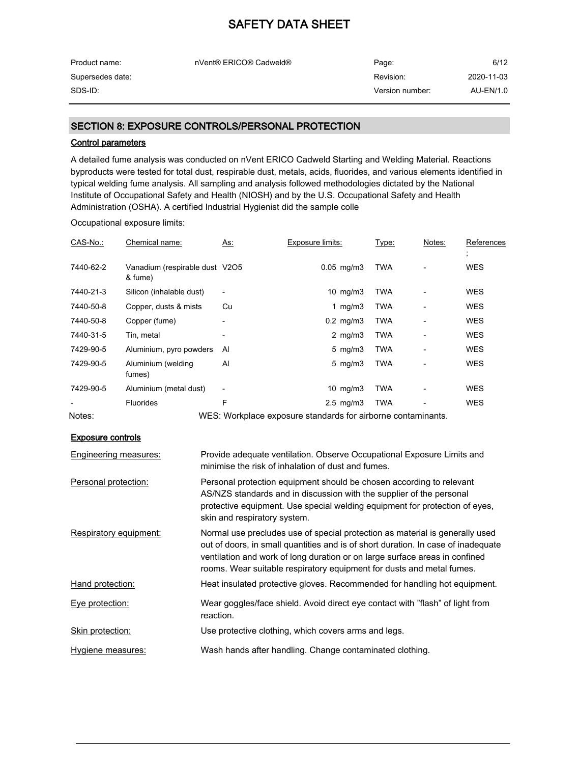| Product name:    | nVent® ERICO® Cadweld® | Page:           | 6/12       |
|------------------|------------------------|-----------------|------------|
| Supersedes date: |                        | Revision:       | 2020-11-03 |
| SDS-ID:          |                        | Version number: | AU-EN/1.0  |

### SECTION 8: EXPOSURE CONTROLS/PERSONAL PROTECTION

#### Control parameters

A detailed fume analysis was conducted on nVent ERICO Cadweld Starting and Welding Material. Reactions byproducts were tested for total dust, respirable dust, metals, acids, fluorides, and various elements identified in typical welding fume analysis. All sampling and analysis followed methodologies dictated by the National Institute of Occupational Safety and Health (NIOSH) and by the U.S. Occupational Safety and Health Administration (OSHA). A certified Industrial Hygienist did the sample colle

Occupational exposure limits:

| CAS-No.:  | Chemical name:                            | As:                          | Exposure limits:                                             | Type: | Notes: | References |
|-----------|-------------------------------------------|------------------------------|--------------------------------------------------------------|-------|--------|------------|
|           |                                           |                              |                                                              |       |        |            |
| 7440-62-2 | Vanadium (respirable dust V2O5<br>& fume) |                              | $0.05$ mg/m $3$                                              | TWA   |        | <b>WES</b> |
| 7440-21-3 | Silicon (inhalable dust)                  | $\qquad \qquad \blacksquare$ | 10 $mg/m3$                                                   | TWA   |        | <b>WES</b> |
| 7440-50-8 | Copper, dusts & mists                     | Cu                           | 1 $mg/m3$                                                    | TWA   |        | <b>WES</b> |
| 7440-50-8 | Copper (fume)                             | $\qquad \qquad \blacksquare$ | $0.2$ mg/m $3$                                               | TWA   |        | <b>WES</b> |
| 7440-31-5 | Tin, metal                                |                              | 2 $mg/m3$                                                    | TWA   |        | <b>WES</b> |
| 7429-90-5 | Aluminium, pyro powders                   | Al                           | $5 \text{ mg/m}$                                             | TWA   |        | <b>WES</b> |
| 7429-90-5 | Aluminium (welding<br>fumes)              | Al                           | $5 \text{ mg/m}$                                             | TWA   |        | <b>WES</b> |
| 7429-90-5 | Aluminium (metal dust)                    | $\overline{\phantom{a}}$     | $10 \text{ mg/m}$                                            | TWA   |        | <b>WES</b> |
|           | <b>Fluorides</b>                          | F                            | $2.5$ mg/m $3$                                               | TWA   |        | <b>WES</b> |
| Notes:    |                                           |                              | WES: Workplace exposure standards for airborne contaminants. |       |        |            |

#### Exposure controls

| Engineering measures:  | Provide adequate ventilation. Observe Occupational Exposure Limits and<br>minimise the risk of inhalation of dust and fumes.                                                                                                                                                                                              |
|------------------------|---------------------------------------------------------------------------------------------------------------------------------------------------------------------------------------------------------------------------------------------------------------------------------------------------------------------------|
| Personal protection:   | Personal protection equipment should be chosen according to relevant<br>AS/NZS standards and in discussion with the supplier of the personal<br>protective equipment. Use special welding equipment for protection of eyes,<br>skin and respiratory system.                                                               |
| Respiratory equipment: | Normal use precludes use of special protection as material is generally used<br>out of doors, in small quantities and is of short duration. In case of inadequate<br>ventilation and work of long duration or on large surface areas in confined<br>rooms. Wear suitable respiratory equipment for dusts and metal fumes. |
| Hand protection:       | Heat insulated protective gloves. Recommended for handling hot equipment.                                                                                                                                                                                                                                                 |
| Eye protection:        | Wear goggles/face shield. Avoid direct eye contact with "flash" of light from<br>reaction.                                                                                                                                                                                                                                |
| Skin protection:       | Use protective clothing, which covers arms and legs.                                                                                                                                                                                                                                                                      |
| Hygiene measures:      | Wash hands after handling. Change contaminated clothing.                                                                                                                                                                                                                                                                  |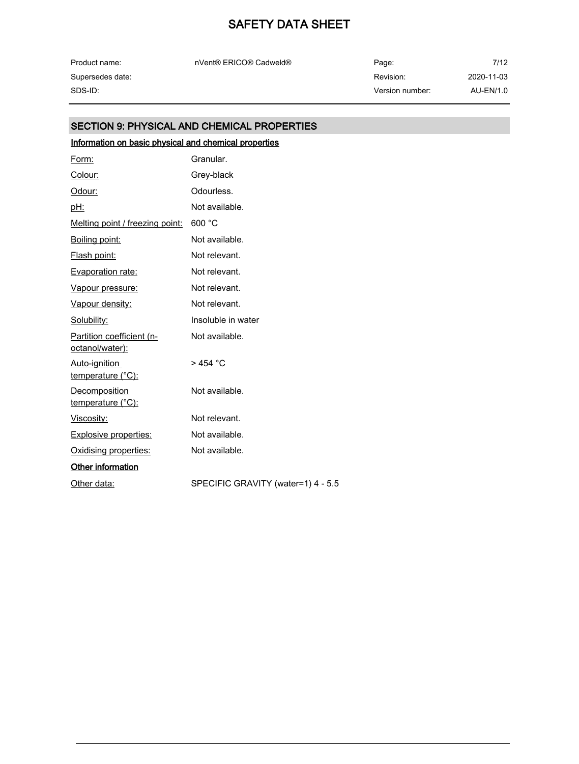| Product name:    |  |
|------------------|--|
| Supersedes date: |  |
| SDS-ID:          |  |

nVent® ERICO® Cadweld® Page:

## SECTION 9: PHYSICAL AND CHEMICAL PROPERTIES

# Information on basic physical and chemical properties

| Form:                                        | Granular.                          |
|----------------------------------------------|------------------------------------|
| Colour:                                      | Grey-black                         |
| Odour:                                       | Odourless.                         |
| <u>pH:</u>                                   | Not available.                     |
| Melting point / freezing point:              | 600 °C                             |
| Boiling point:                               | Not available.                     |
| Flash point:                                 | Not relevant.                      |
| <b>Evaporation rate:</b>                     | Not relevant.                      |
| Vapour pressure:                             | Not relevant.                      |
| Vapour density:                              | Not relevant.                      |
| Solubility:                                  | Insoluble in water                 |
| Partition coefficient (n-<br>octanol/water): | Not available.                     |
| Auto-ignition<br>temperature (°C):           | > 454 °C                           |
| Decomposition<br>temperature (°C):           | Not available.                     |
| Viscosity:                                   | Not relevant.                      |
| <b>Explosive properties:</b>                 | Not available.                     |
| Oxidising properties:                        | Not available.                     |
| <b>Other information</b>                     |                                    |
| Other data:                                  | SPECIFIC GRAVITY (water=1) 4 - 5.5 |
|                                              |                                    |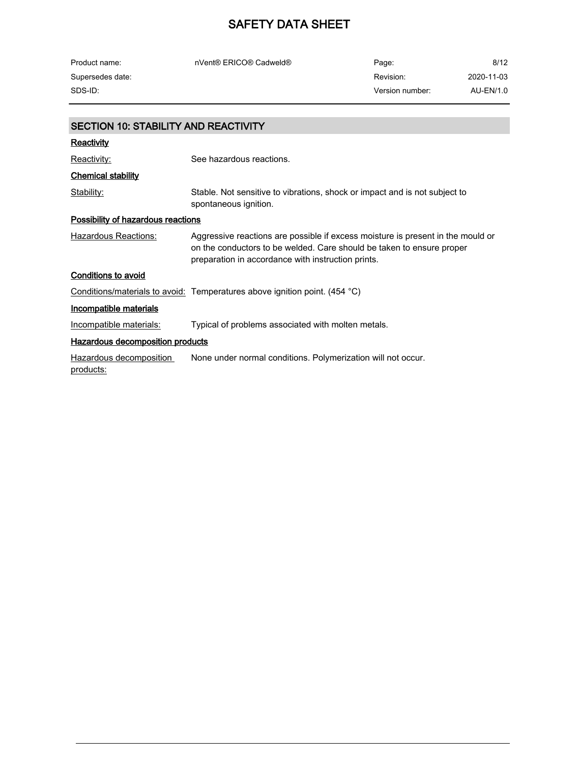| Product name:                               | nVent® ERICO® Cadweld®                                                                                                                                                                                         | Page:           | 8/12       |
|---------------------------------------------|----------------------------------------------------------------------------------------------------------------------------------------------------------------------------------------------------------------|-----------------|------------|
| Supersedes date:                            |                                                                                                                                                                                                                | Revision:       | 2020-11-03 |
| SDS-ID:                                     |                                                                                                                                                                                                                | Version number: | AU-EN/1.0  |
|                                             |                                                                                                                                                                                                                |                 |            |
| <b>SECTION 10: STABILITY AND REACTIVITY</b> |                                                                                                                                                                                                                |                 |            |
| <u>Reactivity</u>                           |                                                                                                                                                                                                                |                 |            |
| Reactivity:                                 | See hazardous reactions.                                                                                                                                                                                       |                 |            |
| <b>Chemical stability</b>                   |                                                                                                                                                                                                                |                 |            |
| Stability:                                  | Stable. Not sensitive to vibrations, shock or impact and is not subject to<br>spontaneous ignition.                                                                                                            |                 |            |
| <b>Possibility of hazardous reactions</b>   |                                                                                                                                                                                                                |                 |            |
| Hazardous Reactions:                        | Aggressive reactions are possible if excess moisture is present in the mould or<br>on the conductors to be welded. Care should be taken to ensure proper<br>preparation in accordance with instruction prints. |                 |            |
| <b>Conditions to avoid</b>                  |                                                                                                                                                                                                                |                 |            |
|                                             | Conditions/materials to avoid: Temperatures above ignition point. (454 °C)                                                                                                                                     |                 |            |
| Incompatible materials                      |                                                                                                                                                                                                                |                 |            |
| Incompatible materials:                     | Typical of problems associated with molten metals.                                                                                                                                                             |                 |            |
| Hazardous decomposition products            |                                                                                                                                                                                                                |                 |            |
| Hazardous decomposition<br>products:        | None under normal conditions. Polymerization will not occur.                                                                                                                                                   |                 |            |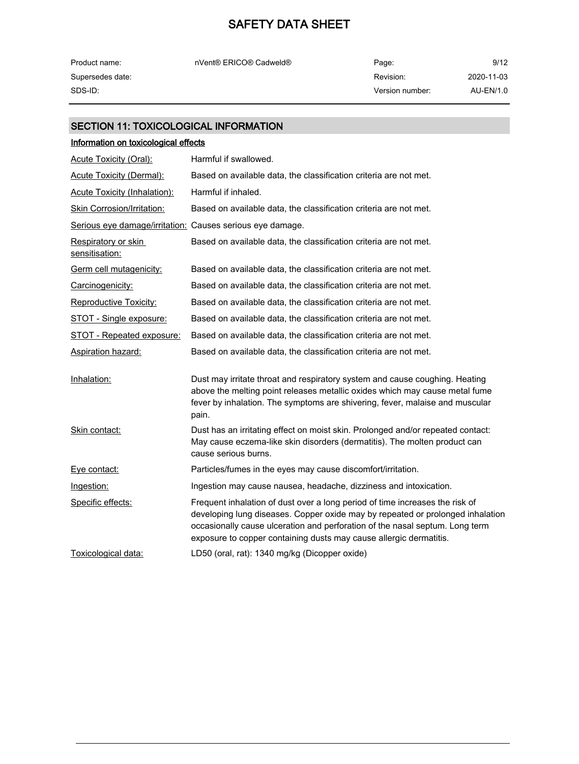| Product name:    | nVent® ERICO® Cadweld® | Page:           | 9/12       |
|------------------|------------------------|-----------------|------------|
| Supersedes date: |                        | Revision:       | 2020-11-03 |
| SDS-ID:          |                        | Version number: | AU-EN/1.0  |

## SECTION 11: TOXICOLOGICAL INFORMATION

| Information on toxicological effects                      |                                                                                                                                                                                                                                                                                                                      |
|-----------------------------------------------------------|----------------------------------------------------------------------------------------------------------------------------------------------------------------------------------------------------------------------------------------------------------------------------------------------------------------------|
| <b>Acute Toxicity (Oral):</b>                             | Harmful if swallowed.                                                                                                                                                                                                                                                                                                |
| <b>Acute Toxicity (Dermal):</b>                           | Based on available data, the classification criteria are not met.                                                                                                                                                                                                                                                    |
| <b>Acute Toxicity (Inhalation):</b>                       | Harmful if inhaled.                                                                                                                                                                                                                                                                                                  |
| <b>Skin Corrosion/Irritation:</b>                         | Based on available data, the classification criteria are not met.                                                                                                                                                                                                                                                    |
| Serious eye damage/irritation: Causes serious eye damage. |                                                                                                                                                                                                                                                                                                                      |
| Respiratory or skin<br>sensitisation:                     | Based on available data, the classification criteria are not met.                                                                                                                                                                                                                                                    |
| Germ cell mutagenicity:                                   | Based on available data, the classification criteria are not met.                                                                                                                                                                                                                                                    |
| Carcinogenicity:                                          | Based on available data, the classification criteria are not met.                                                                                                                                                                                                                                                    |
| Reproductive Toxicity:                                    | Based on available data, the classification criteria are not met.                                                                                                                                                                                                                                                    |
| STOT - Single exposure:                                   | Based on available data, the classification criteria are not met.                                                                                                                                                                                                                                                    |
| STOT - Repeated exposure:                                 | Based on available data, the classification criteria are not met.                                                                                                                                                                                                                                                    |
| <b>Aspiration hazard:</b>                                 | Based on available data, the classification criteria are not met.                                                                                                                                                                                                                                                    |
| Inhalation:                                               | Dust may irritate throat and respiratory system and cause coughing. Heating<br>above the melting point releases metallic oxides which may cause metal fume<br>fever by inhalation. The symptoms are shivering, fever, malaise and muscular<br>pain.                                                                  |
| Skin contact:                                             | Dust has an irritating effect on moist skin. Prolonged and/or repeated contact:<br>May cause eczema-like skin disorders (dermatitis). The molten product can<br>cause serious burns.                                                                                                                                 |
| Eye contact:                                              | Particles/fumes in the eyes may cause discomfort/irritation.                                                                                                                                                                                                                                                         |
| Ingestion:                                                | Ingestion may cause nausea, headache, dizziness and intoxication.                                                                                                                                                                                                                                                    |
| Specific effects:                                         | Frequent inhalation of dust over a long period of time increases the risk of<br>developing lung diseases. Copper oxide may by repeated or prolonged inhalation<br>occasionally cause ulceration and perforation of the nasal septum. Long term<br>exposure to copper containing dusts may cause allergic dermatitis. |
| Toxicological data:                                       | LD50 (oral, rat): 1340 mg/kg (Dicopper oxide)                                                                                                                                                                                                                                                                        |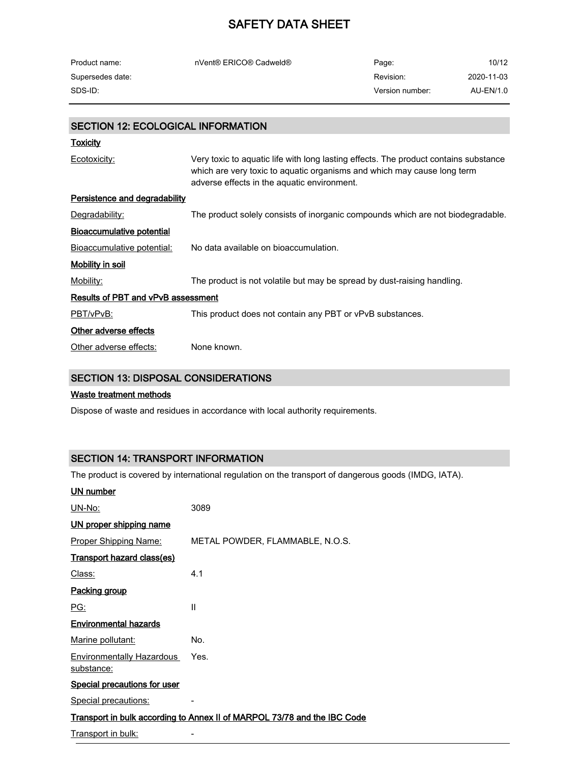| Product name:    | nVent® ERICO® Cadweld® | Page:           | 10/12      |
|------------------|------------------------|-----------------|------------|
| Supersedes date: |                        | Revision:       | 2020-11-03 |
| SDS-ID:          |                        | Version number: | AU-EN/1.0  |

### SECTION 12: ECOLOGICAL INFORMATION

| Toxicity                             |                                                                                                                                                                                                                |  |
|--------------------------------------|----------------------------------------------------------------------------------------------------------------------------------------------------------------------------------------------------------------|--|
| Ecotoxicity:                         | Very toxic to aquatic life with long lasting effects. The product contains substance<br>which are very toxic to aquatic organisms and which may cause long term<br>adverse effects in the aquatic environment. |  |
| <b>Persistence and degradability</b> |                                                                                                                                                                                                                |  |
| Degradability:                       | The product solely consists of inorganic compounds which are not biodegradable.                                                                                                                                |  |
| <b>Bioaccumulative potential</b>     |                                                                                                                                                                                                                |  |
| Bioaccumulative potential:           | No data available on bioaccumulation.                                                                                                                                                                          |  |
| <u>Mobility in soil</u>              |                                                                                                                                                                                                                |  |
| Mobility:                            | The product is not volatile but may be spread by dust-raising handling.                                                                                                                                        |  |
| Results of PBT and vPvB assessment   |                                                                                                                                                                                                                |  |
| PBT/vPvB:                            | This product does not contain any PBT or vPvB substances.                                                                                                                                                      |  |
| Other adverse effects                |                                                                                                                                                                                                                |  |
| Other adverse effects:               | None known.                                                                                                                                                                                                    |  |
|                                      |                                                                                                                                                                                                                |  |

## SECTION 13: DISPOSAL CONSIDERATIONS

### Waste treatment methods

Dispose of waste and residues in accordance with local authority requirements.

## SECTION 14: TRANSPORT INFORMATION

The product is covered by international regulation on the transport of dangerous goods (IMDG, IATA).

#### UN number

| <u>UN-No:</u>                                  | 3089                                                                     |
|------------------------------------------------|--------------------------------------------------------------------------|
| UN proper shipping name                        |                                                                          |
| <b>Proper Shipping Name:</b>                   | METAL POWDER, FLAMMABLE, N.O.S.                                          |
| Transport hazard class(es)                     |                                                                          |
| Class:                                         | 4.1                                                                      |
| Packing group                                  |                                                                          |
| <u>PG:</u>                                     | Ш                                                                        |
| <b>Environmental hazards</b>                   |                                                                          |
| Marine pollutant:                              | No.                                                                      |
| <b>Environmentally Hazardous</b><br>substance: | Yes.                                                                     |
| <b>Special precautions for user</b>            |                                                                          |
| Special precautions:                           |                                                                          |
|                                                | Transport in bulk according to Annex II of MARPOL 73/78 and the IBC Code |
| Transport in bulk:                             |                                                                          |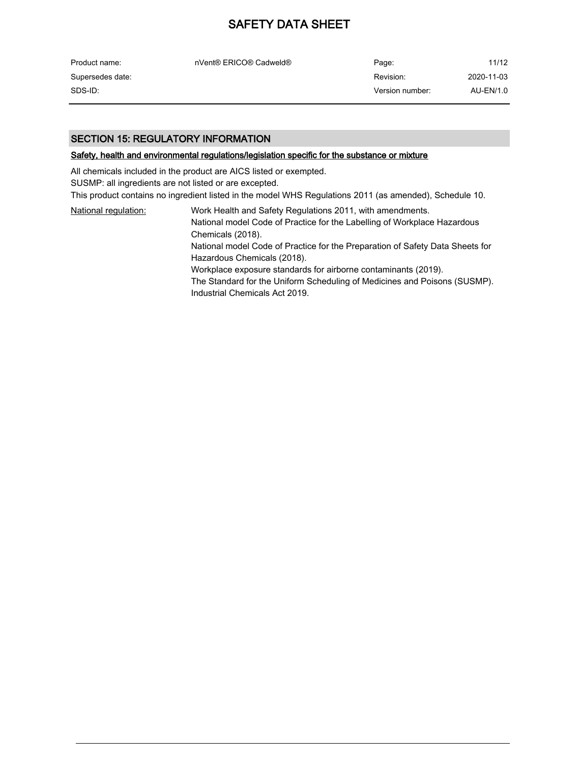| Product name:    | nVent® ERICO® Cadweld® | Page:           | 11/12      |
|------------------|------------------------|-----------------|------------|
| Supersedes date: |                        | Revision:       | 2020-11-03 |
| SDS-ID:          |                        | Version number: | AU-EN/1.0  |

### SECTION 15: REGULATORY INFORMATION

#### Safety, health and environmental regulations/legislation specific for the substance or mixture

All chemicals included in the product are AICS listed or exempted.

SUSMP: all ingredients are not listed or are excepted.

This product contains no ingredient listed in the model WHS Regulations 2011 (as amended), Schedule 10.

| National regulation: | Work Health and Safety Regulations 2011, with amendments.                     |
|----------------------|-------------------------------------------------------------------------------|
|                      | National model Code of Practice for the Labelling of Workplace Hazardous      |
|                      | Chemicals (2018).                                                             |
|                      | National model Code of Practice for the Preparation of Safety Data Sheets for |
|                      | Hazardous Chemicals (2018).                                                   |
|                      | Workplace exposure standards for airborne contaminants (2019).                |
|                      | The Standard for the Uniform Scheduling of Medicines and Poisons (SUSMP).     |
|                      | Industrial Chemicals Act 2019.                                                |